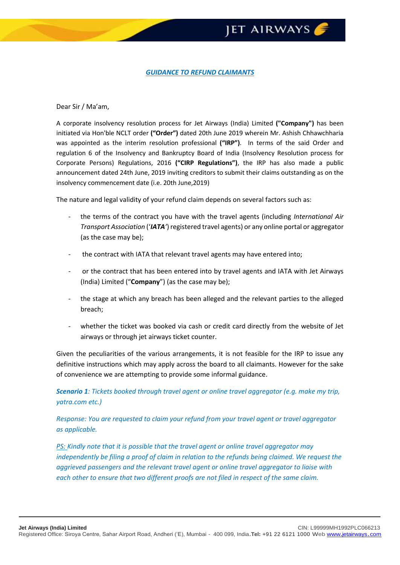## **JET AIRWAYS**

## *GUIDANCE TO REFUND CLAIMANTS*

## Dear Sir / Ma'am,

A corporate insolvency resolution process for Jet Airways (India) Limited **("Company")** has been initiated via Hon'ble NCLT order **("Order")** dated 20th June 2019 wherein Mr. Ashish Chhawchharia was appointed as the interim resolution professional **("IRP")**. In terms of the said Order and regulation 6 of the Insolvency and Bankruptcy Board of India (Insolvency Resolution process for Corporate Persons) Regulations, 2016 **("CIRP Regulations")**, the IRP has also made a public announcement dated 24th June, 2019 inviting creditors to submit their claims outstanding as on the insolvency commencement date (i.e. 20th June,2019)

The nature and legal validity of your refund claim depends on several factors such as:

- the terms of the contract you have with the travel agents (including *International Air Transport Association* ('*IATA'*) registered travel agents) or any online portal or aggregator (as the case may be);
- the contract with IATA that relevant travel agents may have entered into;
- or the contract that has been entered into by travel agents and IATA with Jet Airways (India) Limited ("**Company**") (as the case may be);
- the stage at which any breach has been alleged and the relevant parties to the alleged breach;
- whether the ticket was booked via cash or credit card directly from the website of Jet airways or through jet airways ticket counter.

Given the peculiarities of the various arrangements, it is not feasible for the IRP to issue any definitive instructions which may apply across the board to all claimants. However for the sake of convenience we are attempting to provide some informal guidance.

*Scenario 1: Tickets booked through travel agent or online travel aggregator (e.g. make my trip, yatra.com etc.)* 

*Response: You are requested to claim your refund from your travel agent or travel aggregator as applicable.* 

*PS: Kindly note that it is possible that the travel agent or online travel aggregator may independently be filing a proof of claim in relation to the refunds being claimed. We request the aggrieved passengers and the relevant travel agent or online travel aggregator to liaise with each other to ensure that two different proofs are not filed in respect of the same claim.*